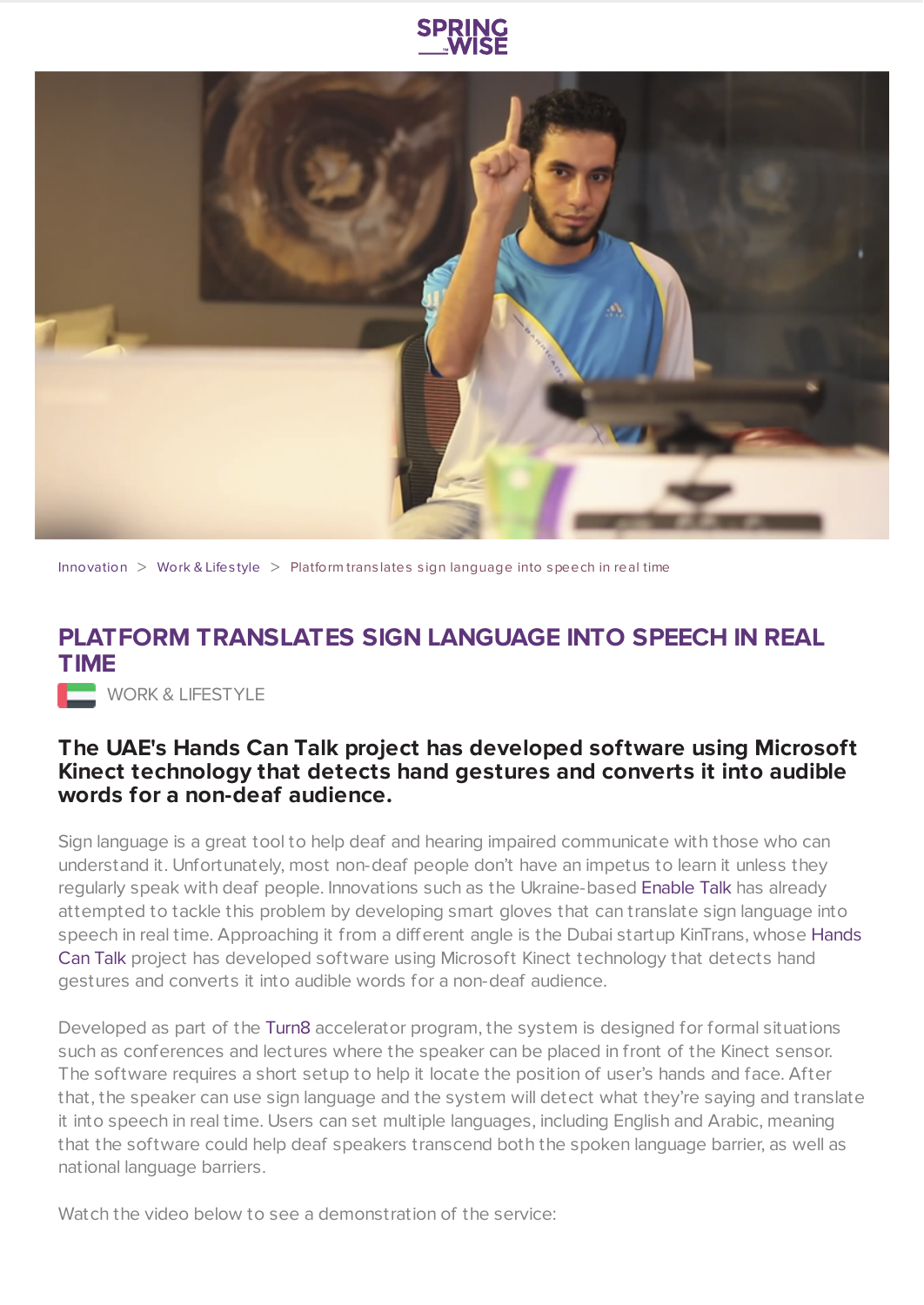



[Innovation](https://www.springwise.com/search?type=innovation)  $>$  [Work](https://www.springwise.com/search?type=innovation§or=work-lifestyle) & Lifestyle  $>$  Platform translates sign language into speech in real time

## **PLATFORM TRANSLATES SIGN LANGUAGE INTO SPEECH IN REAL TIME**

WORK & LIFESTYLE

## **The UAE's Hands Can Talk project has developed software using Microsoft Kinect technology that detects hand gestures and converts it into audible words for a non-deaf audience.**

Sign language is a great tool to help deaf and hearing impaired communicate with those who can understand it. Unfortunately, most non-deaf people don't have an impetus to learn it unless they regularly speak with deaf people. Innovations such as the Ukraine-based [Enable](https://www.springwise.com/gloves-translate-sign-language-speech/) Talk has already attempted to tackle this problem by developing smart gloves that can translate sign language into speech in real time. [Approaching](http://https//www.facebook.com/kintrans/info) it from a different angle is the Dubai startup KinTrans, whose Hands Can Talk project has developed software using Microsoft Kinect technology that detects hand gestures and converts it into audible words for a non-deaf audience.

Developed as part of the [Turn8](http://www.turn8.co/) accelerator program, the system is designed for formal situations such as conferences and lectures where the speaker can be placed in front of the Kinect sensor. The software requires a short setup to help it locate the position of user's hands and face. After that, the speaker can use sign language and the system will detect what they're saying and translate it into speech in real time. Users can set multiple languages, including English and Arabic, meaning that the software could help deaf speakers transcend both the spoken language barrier, as well as national language barriers.

Watch the video below to see a demonstration of the service: